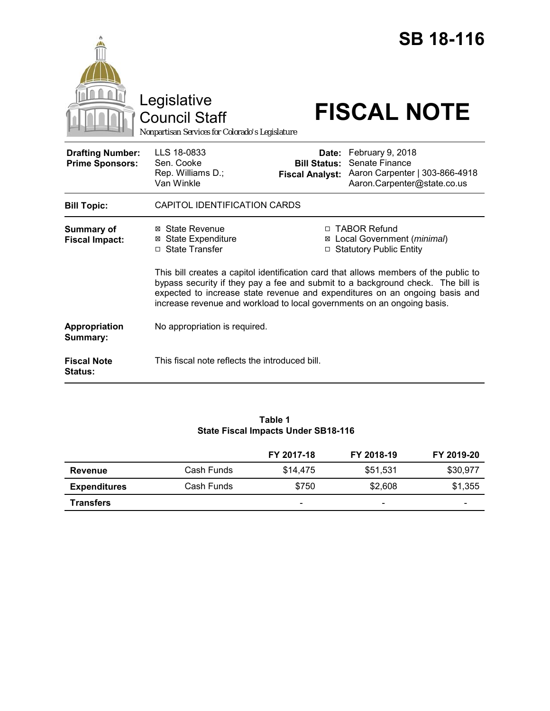|                                                   | Legislative<br><b>Council Staff</b><br>Nonpartisan Services for Colorado's Legislature                                                                                                                                                                                                                                            |                                                                                          | <b>SB 18-116</b><br><b>FISCAL NOTE</b>                                                                    |  |
|---------------------------------------------------|-----------------------------------------------------------------------------------------------------------------------------------------------------------------------------------------------------------------------------------------------------------------------------------------------------------------------------------|------------------------------------------------------------------------------------------|-----------------------------------------------------------------------------------------------------------|--|
| <b>Drafting Number:</b><br><b>Prime Sponsors:</b> | LLS 18-0833<br>Sen. Cooke<br>Rep. Williams D.;<br>Van Winkle                                                                                                                                                                                                                                                                      | <b>Bill Status:</b><br><b>Fiscal Analyst:</b>                                            | Date: February 9, 2018<br>Senate Finance<br>Aaron Carpenter   303-866-4918<br>Aaron.Carpenter@state.co.us |  |
| <b>Bill Topic:</b>                                | CAPITOL IDENTIFICATION CARDS                                                                                                                                                                                                                                                                                                      |                                                                                          |                                                                                                           |  |
| <b>Summary of</b><br><b>Fiscal Impact:</b>        | ⊠ State Revenue<br><b>State Expenditure</b><br>⊠<br>□ State Transfer                                                                                                                                                                                                                                                              | □ TABOR Refund<br>Local Government (minimal)<br>⊠<br><b>Statutory Public Entity</b><br>□ |                                                                                                           |  |
|                                                   | This bill creates a capitol identification card that allows members of the public to<br>bypass security if they pay a fee and submit to a background check. The bill is<br>expected to increase state revenue and expenditures on an ongoing basis and<br>increase revenue and workload to local governments on an ongoing basis. |                                                                                          |                                                                                                           |  |
| Appropriation<br>Summary:                         | No appropriation is required.                                                                                                                                                                                                                                                                                                     |                                                                                          |                                                                                                           |  |
| <b>Fiscal Note</b><br>Status:                     | This fiscal note reflects the introduced bill.                                                                                                                                                                                                                                                                                    |                                                                                          |                                                                                                           |  |

## **Table 1 State Fiscal Impacts Under SB18-116**

|                     |            | FY 2017-18               | FY 2018-19               | FY 2019-20 |
|---------------------|------------|--------------------------|--------------------------|------------|
| <b>Revenue</b>      | Cash Funds | \$14,475                 | \$51,531                 | \$30.977   |
| <b>Expenditures</b> | Cash Funds | \$750                    | \$2,608                  | \$1,355    |
| <b>Transfers</b>    |            | $\overline{\phantom{0}}$ | $\overline{\phantom{0}}$ | -          |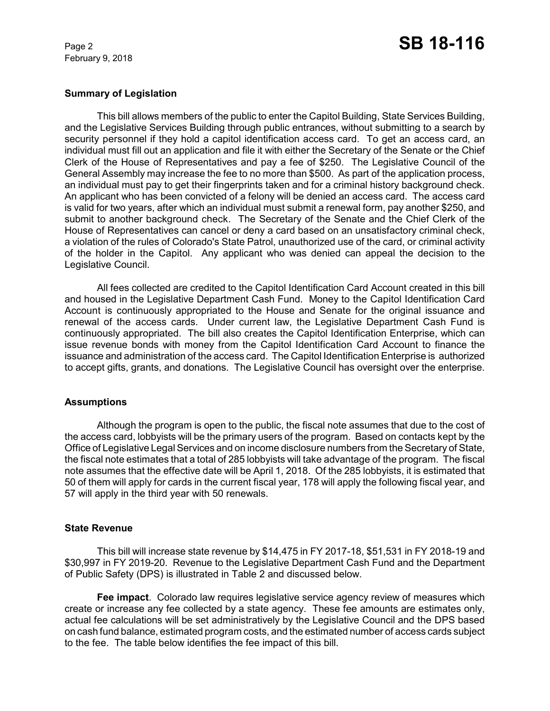February 9, 2018

## **Summary of Legislation**

This bill allows members of the public to enter the Capitol Building, State Services Building, and the Legislative Services Building through public entrances, without submitting to a search by security personnel if they hold a capitol identification access card. To get an access card, an individual must fill out an application and file it with either the Secretary of the Senate or the Chief Clerk of the House of Representatives and pay a fee of \$250. The Legislative Council of the General Assembly may increase the fee to no more than \$500. As part of the application process, an individual must pay to get their fingerprints taken and for a criminal history background check. An applicant who has been convicted of a felony will be denied an access card. The access card is valid for two years, after which an individual must submit a renewal form, pay another \$250, and submit to another background check. The Secretary of the Senate and the Chief Clerk of the House of Representatives can cancel or deny a card based on an unsatisfactory criminal check, a violation of the rules of Colorado's State Patrol, unauthorized use of the card, or criminal activity of the holder in the Capitol. Any applicant who was denied can appeal the decision to the Legislative Council.

All fees collected are credited to the Capitol Identification Card Account created in this bill and housed in the Legislative Department Cash Fund. Money to the Capitol Identification Card Account is continuously appropriated to the House and Senate for the original issuance and renewal of the access cards. Under current law, the Legislative Department Cash Fund is continuously appropriated. The bill also creates the Capitol Identification Enterprise, which can issue revenue bonds with money from the Capitol Identification Card Account to finance the issuance and administration of the access card. The Capitol Identification Enterprise is authorized to accept gifts, grants, and donations. The Legislative Council has oversight over the enterprise.

## **Assumptions**

Although the program is open to the public, the fiscal note assumes that due to the cost of the access card, lobbyists will be the primary users of the program. Based on contacts kept by the Office of Legislative Legal Services and on income disclosure numbers from the Secretary of State, the fiscal note estimates that a total of 285 lobbyists will take advantage of the program. The fiscal note assumes that the effective date will be April 1, 2018. Of the 285 lobbyists, it is estimated that 50 of them will apply for cards in the current fiscal year, 178 will apply the following fiscal year, and 57 will apply in the third year with 50 renewals.

## **State Revenue**

This bill will increase state revenue by \$14,475 in FY 2017-18, \$51,531 in FY 2018-19 and \$30,997 in FY 2019-20. Revenue to the Legislative Department Cash Fund and the Department of Public Safety (DPS) is illustrated in Table 2 and discussed below.

**Fee impact**. Colorado law requires legislative service agency review of measures which create or increase any fee collected by a state agency. These fee amounts are estimates only, actual fee calculations will be set administratively by the Legislative Council and the DPS based on cash fund balance, estimated program costs, and the estimated number of access cards subject to the fee. The table below identifies the fee impact of this bill.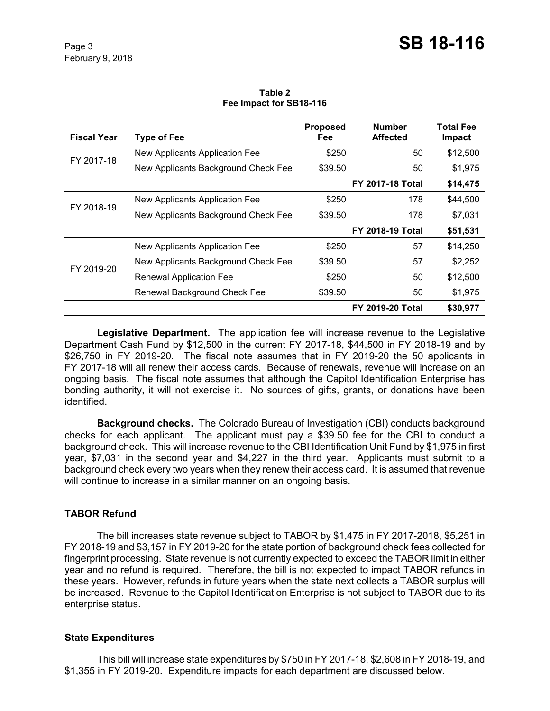#### **Table 2 Fee Impact for SB18-116**

| <b>Fiscal Year</b> | <b>Type of Fee</b>                  | <b>Proposed</b><br>Fee | <b>Number</b><br><b>Affected</b> | <b>Total Fee</b><br>Impact |
|--------------------|-------------------------------------|------------------------|----------------------------------|----------------------------|
| FY 2017-18         | New Applicants Application Fee      | \$250                  | 50                               | \$12,500                   |
|                    | New Applicants Background Check Fee | \$39.50                | 50                               | \$1,975                    |
|                    |                                     |                        | <b>FY 2017-18 Total</b>          | \$14,475                   |
| FY 2018-19         | New Applicants Application Fee      | \$250                  | 178                              | \$44,500                   |
|                    | New Applicants Background Check Fee | \$39.50                | 178                              | \$7,031                    |
|                    |                                     |                        | <b>FY 2018-19 Total</b>          | \$51,531                   |
| FY 2019-20         | New Applicants Application Fee      | \$250                  | 57                               | \$14,250                   |
|                    | New Applicants Background Check Fee | \$39.50                | 57                               | \$2,252                    |
|                    | <b>Renewal Application Fee</b>      | \$250                  | 50                               | \$12,500                   |
|                    | Renewal Background Check Fee        | \$39.50                | 50                               | \$1,975                    |
|                    |                                     |                        | <b>FY 2019-20 Total</b>          | \$30,977                   |

**Legislative Department.** The application fee will increase revenue to the Legislative Department Cash Fund by \$12,500 in the current FY 2017-18, \$44,500 in FY 2018-19 and by \$26,750 in FY 2019-20. The fiscal note assumes that in FY 2019-20 the 50 applicants in FY 2017-18 will all renew their access cards. Because of renewals, revenue will increase on an ongoing basis. The fiscal note assumes that although the Capitol Identification Enterprise has bonding authority, it will not exercise it. No sources of gifts, grants, or donations have been identified.

**Background checks.** The Colorado Bureau of Investigation (CBI) conducts background checks for each applicant. The applicant must pay a \$39.50 fee for the CBI to conduct a background check. This will increase revenue to the CBI Identification Unit Fund by \$1,975 in first year, \$7,031 in the second year and \$4,227 in the third year. Applicants must submit to a background check every two years when they renew their access card. It is assumed that revenue will continue to increase in a similar manner on an ongoing basis.

# **TABOR Refund**

The bill increases state revenue subject to TABOR by \$1,475 in FY 2017-2018, \$5,251 in FY 2018-19 and \$3,157 in FY 2019-20 for the state portion of background check fees collected for fingerprint processing. State revenue is not currently expected to exceed the TABOR limit in either year and no refund is required. Therefore, the bill is not expected to impact TABOR refunds in these years. However, refunds in future years when the state next collects a TABOR surplus will be increased. Revenue to the Capitol Identification Enterprise is not subject to TABOR due to its enterprise status.

# **State Expenditures**

This bill will increase state expenditures by \$750 in FY 2017-18, \$2,608 in FY 2018-19, and \$1,355 in FY 2019-20**.** Expenditure impacts for each department are discussed below.